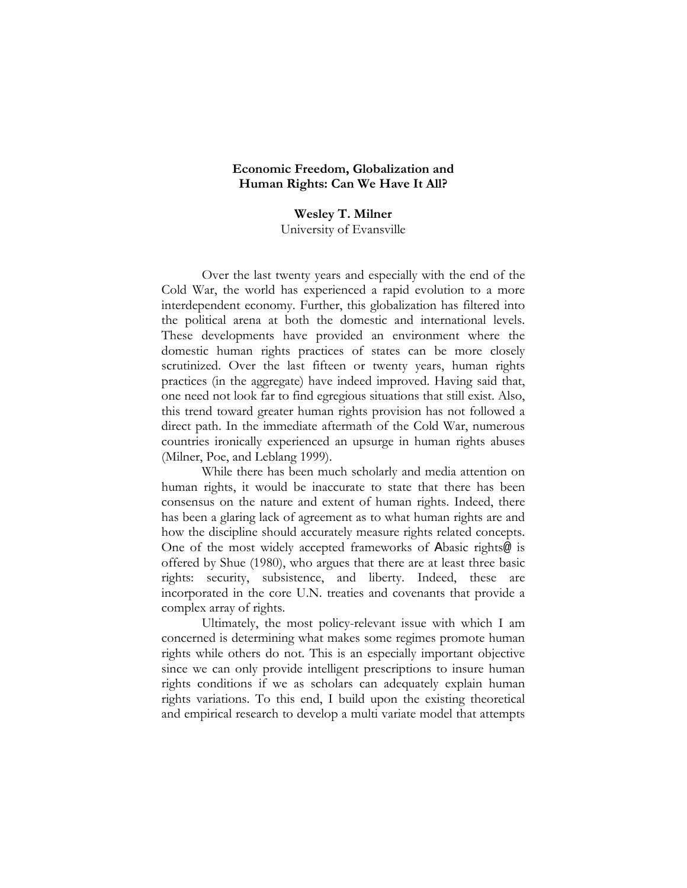## **Economic Freedom, Globalization and Human Rights: Can We Have It All?**

**Wesley T. Milner**  University of Evansville

Over the last twenty years and especially with the end of the Cold War, the world has experienced a rapid evolution to a more interdependent economy. Further, this globalization has filtered into the political arena at both the domestic and international levels. These developments have provided an environment where the domestic human rights practices of states can be more closely scrutinized. Over the last fifteen or twenty years, human rights practices (in the aggregate) have indeed improved. Having said that, one need not look far to find egregious situations that still exist. Also, this trend toward greater human rights provision has not followed a direct path. In the immediate aftermath of the Cold War, numerous countries ironically experienced an upsurge in human rights abuses (Milner, Poe, and Leblang 1999).

While there has been much scholarly and media attention on human rights, it would be inaccurate to state that there has been consensus on the nature and extent of human rights. Indeed, there has been a glaring lack of agreement as to what human rights are and how the discipline should accurately measure rights related concepts. One of the most widely accepted frameworks of Abasic rights@ is offered by Shue (1980), who argues that there are at least three basic rights: security, subsistence, and liberty. Indeed, these are incorporated in the core U.N. treaties and covenants that provide a complex array of rights.

Ultimately, the most policy-relevant issue with which I am concerned is determining what makes some regimes promote human rights while others do not. This is an especially important objective since we can only provide intelligent prescriptions to insure human rights conditions if we as scholars can adequately explain human rights variations. To this end, I build upon the existing theoretical and empirical research to develop a multi variate model that attempts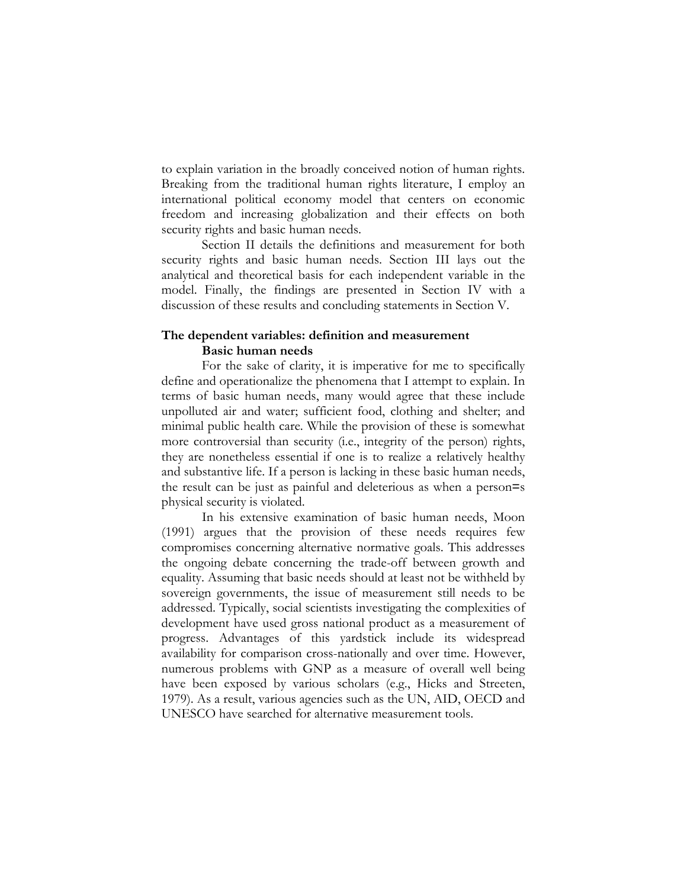to explain variation in the broadly conceived notion of human rights. Breaking from the traditional human rights literature, I employ an international political economy model that centers on economic freedom and increasing globalization and their effects on both security rights and basic human needs.

Section II details the definitions and measurement for both security rights and basic human needs. Section III lays out the analytical and theoretical basis for each independent variable in the model. Finally, the findings are presented in Section IV with a discussion of these results and concluding statements in Section V.

# **The dependent variables: definition and measurement Basic human needs**

For the sake of clarity, it is imperative for me to specifically define and operationalize the phenomena that I attempt to explain. In terms of basic human needs, many would agree that these include unpolluted air and water; sufficient food, clothing and shelter; and minimal public health care. While the provision of these is somewhat more controversial than security (i.e., integrity of the person) rights, they are nonetheless essential if one is to realize a relatively healthy and substantive life. If a person is lacking in these basic human needs, the result can be just as painful and deleterious as when a person=s physical security is violated.

In his extensive examination of basic human needs, Moon (1991) argues that the provision of these needs requires few compromises concerning alternative normative goals. This addresses the ongoing debate concerning the trade-off between growth and equality. Assuming that basic needs should at least not be withheld by sovereign governments, the issue of measurement still needs to be addressed. Typically, social scientists investigating the complexities of development have used gross national product as a measurement of progress. Advantages of this yardstick include its widespread availability for comparison cross-nationally and over time. However, numerous problems with GNP as a measure of overall well being have been exposed by various scholars (e.g., Hicks and Streeten, 1979). As a result, various agencies such as the UN, AID, OECD and UNESCO have searched for alternative measurement tools.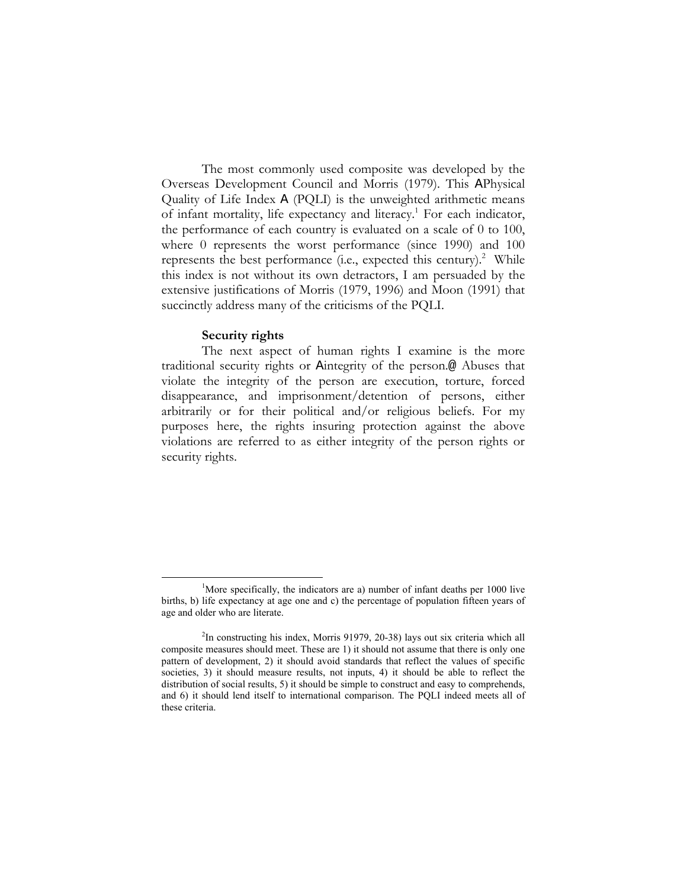The most commonly used composite was developed by the Overseas Development Council and Morris (1979). This APhysical Quality of Life Index A (PQLI) is the unweighted arithmetic means of infant mortality, life expectancy and literacy.<sup>1</sup> For each indicator, the performance of each country is evaluated on a scale of 0 to 100, where 0 represents the worst performance (since 1990) and 100 represents the best performance (i.e., expected this century).<sup>2</sup> While this index is not without its own detractors, I am persuaded by the extensive justifications of Morris (1979, 1996) and Moon (1991) that succinctly address many of the criticisms of the PQLI.

## **Security rights**

The next aspect of human rights I examine is the more traditional security rights or Aintegrity of the person.@ Abuses that violate the integrity of the person are execution, torture, forced disappearance, and imprisonment/detention of persons, either arbitrarily or for their political and/or religious beliefs. For my purposes here, the rights insuring protection against the above violations are referred to as either integrity of the person rights or security rights.

 $\frac{1}{1}$ <sup>1</sup>More specifically, the indicators are a) number of infant deaths per  $1000$  live births, b) life expectancy at age one and c) the percentage of population fifteen years of age and older who are literate.

<sup>&</sup>lt;sup>2</sup>In constructing his index, Morris 91979, 20-38) lays out six criteria which all composite measures should meet. These are 1) it should not assume that there is only one pattern of development, 2) it should avoid standards that reflect the values of specific societies, 3) it should measure results, not inputs, 4) it should be able to reflect the distribution of social results, 5) it should be simple to construct and easy to comprehends, and 6) it should lend itself to international comparison. The PQLI indeed meets all of these criteria.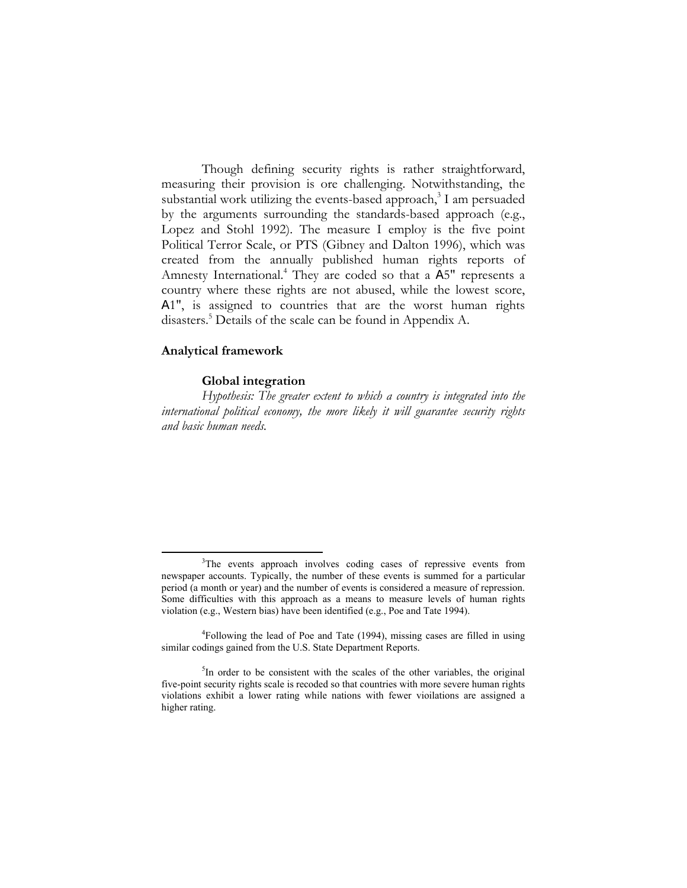Though defining security rights is rather straightforward, measuring their provision is ore challenging. Notwithstanding, the substantial work utilizing the events-based approach, $3$  I am persuaded by the arguments surrounding the standards-based approach (e.g., Lopez and Stohl 1992). The measure I employ is the five point Political Terror Scale, or PTS (Gibney and Dalton 1996), which was created from the annually published human rights reports of Amnesty International.<sup>4</sup> They are coded so that a A5" represents a country where these rights are not abused, while the lowest score, A1", is assigned to countries that are the worst human rights disasters.<sup>5</sup> Details of the scale can be found in Appendix A.

# **Analytical framework**

## **Global integration**

*Hypothesis: The greater extent to which a country is integrated into the international political economy, the more likely it will guarantee security rights and basic human needs.* 

 <sup>3</sup> <sup>3</sup>The events approach involves coding cases of repressive events from newspaper accounts. Typically, the number of these events is summed for a particular period (a month or year) and the number of events is considered a measure of repression. Some difficulties with this approach as a means to measure levels of human rights violation (e.g., Western bias) have been identified (e.g., Poe and Tate 1994).

<sup>&</sup>lt;sup>4</sup>Following the lead of Poe and Tate (1994), missing cases are filled in using similar codings gained from the U.S. State Department Reports.

<sup>&</sup>lt;sup>5</sup>In order to be consistent with the scales of the other variables, the original five-point security rights scale is recoded so that countries with more severe human rights violations exhibit a lower rating while nations with fewer vioilations are assigned a higher rating.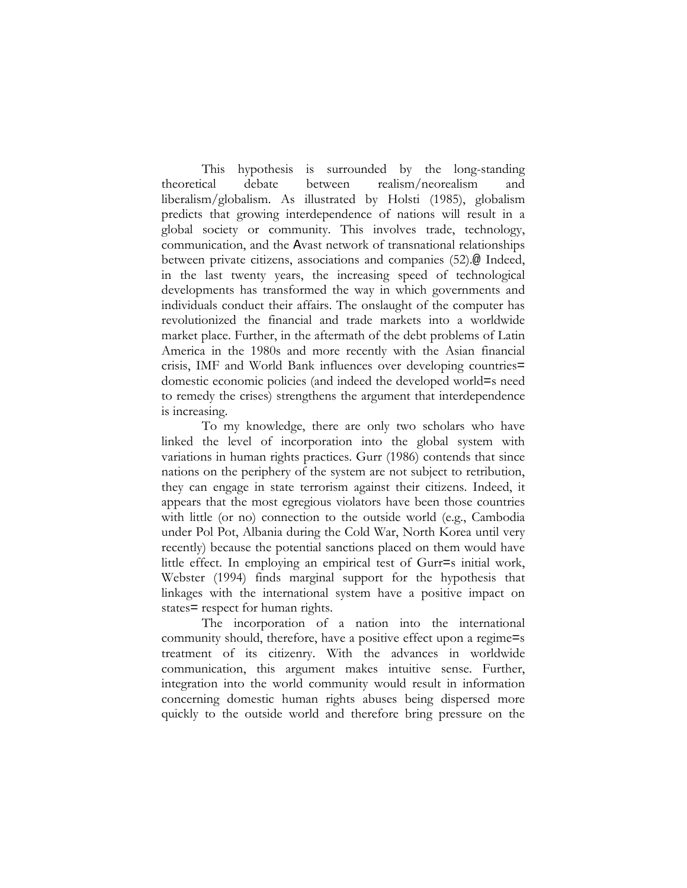This hypothesis is surrounded by the long-standing theoretical debate between realism/neorealism and liberalism/globalism. As illustrated by Holsti (1985), globalism predicts that growing interdependence of nations will result in a global society or community. This involves trade, technology, communication, and the Avast network of transnational relationships between private citizens, associations and companies (52).@ Indeed, in the last twenty years, the increasing speed of technological developments has transformed the way in which governments and individuals conduct their affairs. The onslaught of the computer has revolutionized the financial and trade markets into a worldwide market place. Further, in the aftermath of the debt problems of Latin America in the 1980s and more recently with the Asian financial crisis, IMF and World Bank influences over developing countries= domestic economic policies (and indeed the developed world=s need to remedy the crises) strengthens the argument that interdependence is increasing.

To my knowledge, there are only two scholars who have linked the level of incorporation into the global system with variations in human rights practices. Gurr (1986) contends that since nations on the periphery of the system are not subject to retribution, they can engage in state terrorism against their citizens. Indeed, it appears that the most egregious violators have been those countries with little (or no) connection to the outside world (e.g., Cambodia under Pol Pot, Albania during the Cold War, North Korea until very recently) because the potential sanctions placed on them would have little effect. In employing an empirical test of Gurr=s initial work, Webster (1994) finds marginal support for the hypothesis that linkages with the international system have a positive impact on states= respect for human rights.

The incorporation of a nation into the international community should, therefore, have a positive effect upon a regime=s treatment of its citizenry. With the advances in worldwide communication, this argument makes intuitive sense. Further, integration into the world community would result in information concerning domestic human rights abuses being dispersed more quickly to the outside world and therefore bring pressure on the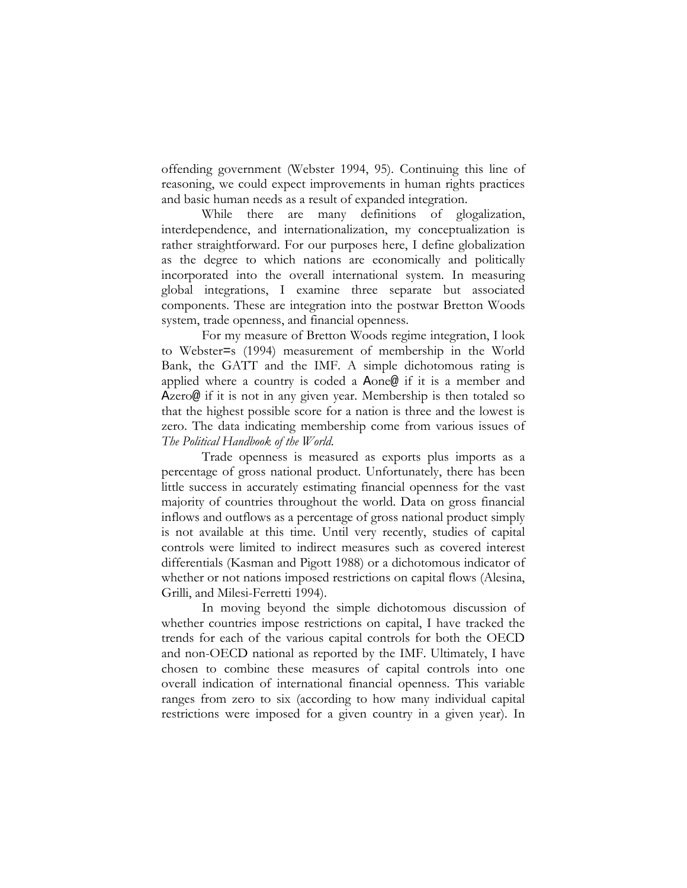offending government (Webster 1994, 95). Continuing this line of reasoning, we could expect improvements in human rights practices and basic human needs as a result of expanded integration.

While there are many definitions of glogalization, interdependence, and internationalization, my conceptualization is rather straightforward. For our purposes here, I define globalization as the degree to which nations are economically and politically incorporated into the overall international system. In measuring global integrations, I examine three separate but associated components. These are integration into the postwar Bretton Woods system, trade openness, and financial openness.

For my measure of Bretton Woods regime integration, I look to Webster=s (1994) measurement of membership in the World Bank, the GATT and the IMF. A simple dichotomous rating is applied where a country is coded a Aone@ if it is a member and Azero@ if it is not in any given year. Membership is then totaled so that the highest possible score for a nation is three and the lowest is zero. The data indicating membership come from various issues of *The Political Handbook of the World*.

Trade openness is measured as exports plus imports as a percentage of gross national product. Unfortunately, there has been little success in accurately estimating financial openness for the vast majority of countries throughout the world. Data on gross financial inflows and outflows as a percentage of gross national product simply is not available at this time. Until very recently, studies of capital controls were limited to indirect measures such as covered interest differentials (Kasman and Pigott 1988) or a dichotomous indicator of whether or not nations imposed restrictions on capital flows (Alesina, Grilli, and Milesi-Ferretti 1994).

In moving beyond the simple dichotomous discussion of whether countries impose restrictions on capital, I have tracked the trends for each of the various capital controls for both the OECD and non-OECD national as reported by the IMF. Ultimately, I have chosen to combine these measures of capital controls into one overall indication of international financial openness. This variable ranges from zero to six (according to how many individual capital restrictions were imposed for a given country in a given year). In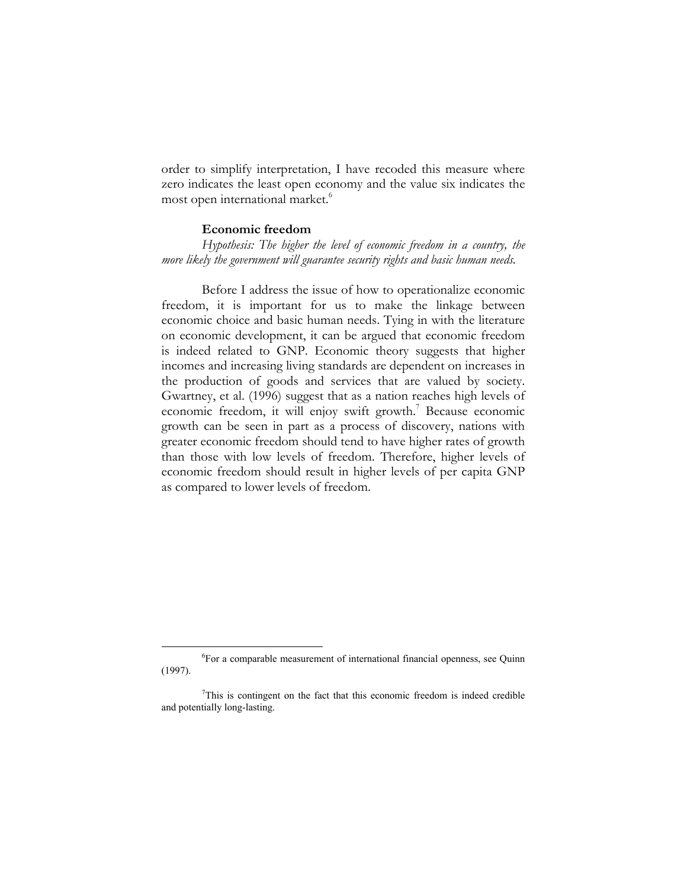order to simplify interpretation, I have recoded this measure where zero indicates the least open economy and the value six indicates the most open international market.<sup>6</sup>

#### **Economic freedom**

*Hypothesis: The higher the level of economic freedom in a country, the more likely the government will guarantee security rights and basic human needs.*

Before I address the issue of how to operationalize economic freedom, it is important for us to make the linkage between economic choice and basic human needs. Tying in with the literature on economic development, it can be argued that economic freedom is indeed related to GNP. Economic theory suggests that higher incomes and increasing living standards are dependent on increases in the production of goods and services that are valued by society. Gwartney, et al. (1996) suggest that as a nation reaches high levels of economic freedom, it will enjoy swift growth.<sup>7</sup> Because economic growth can be seen in part as a process of discovery, nations with greater economic freedom should tend to have higher rates of growth than those with low levels of freedom. Therefore, higher levels of economic freedom should result in higher levels of per capita GNP as compared to lower levels of freedom.

 $\overline{\phantom{a}}$ For a comparable measurement of international financial openness, see Quinn (1997).

 $7$ This is contingent on the fact that this economic freedom is indeed credible and potentially long-lasting.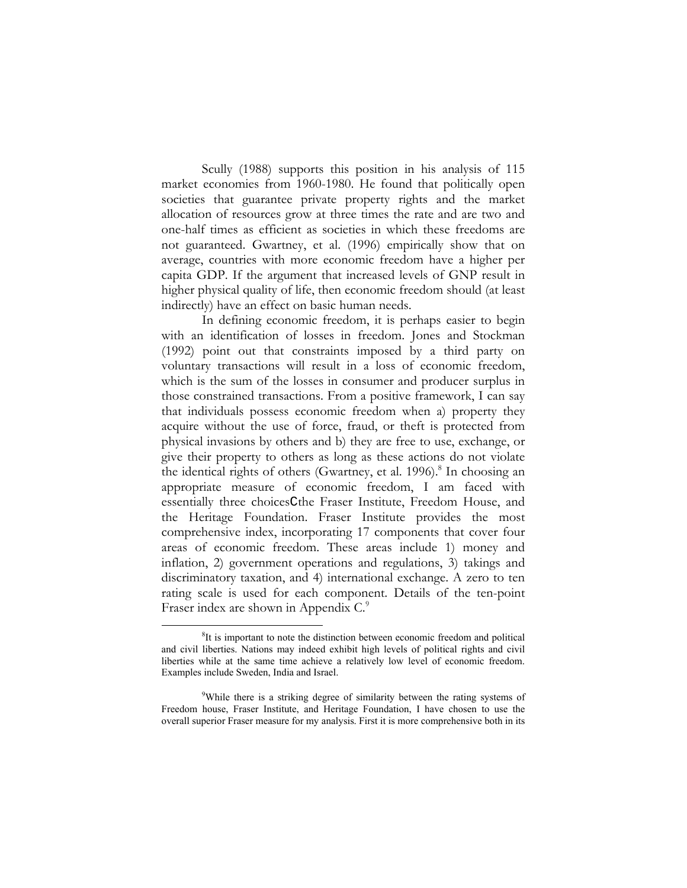Scully (1988) supports this position in his analysis of 115 market economies from 1960-1980. He found that politically open societies that guarantee private property rights and the market allocation of resources grow at three times the rate and are two and one-half times as efficient as societies in which these freedoms are not guaranteed. Gwartney, et al. (1996) empirically show that on average, countries with more economic freedom have a higher per capita GDP. If the argument that increased levels of GNP result in higher physical quality of life, then economic freedom should (at least indirectly) have an effect on basic human needs.

In defining economic freedom, it is perhaps easier to begin with an identification of losses in freedom. Jones and Stockman (1992) point out that constraints imposed by a third party on voluntary transactions will result in a loss of economic freedom, which is the sum of the losses in consumer and producer surplus in those constrained transactions. From a positive framework, I can say that individuals possess economic freedom when a) property they acquire without the use of force, fraud, or theft is protected from physical invasions by others and b) they are free to use, exchange, or give their property to others as long as these actions do not violate the identical rights of others (Gwartney, et al. 1996).<sup>8</sup> In choosing an appropriate measure of economic freedom, I am faced with essentially three choicesCthe Fraser Institute, Freedom House, and the Heritage Foundation. Fraser Institute provides the most comprehensive index, incorporating 17 components that cover four areas of economic freedom. These areas include 1) money and inflation, 2) government operations and regulations, 3) takings and discriminatory taxation, and 4) international exchange. A zero to ten rating scale is used for each component. Details of the ten-point Fraser index are shown in Appendix C.<sup>9</sup>

 $\frac{1}{8}$  ${}^{8}$ It is important to note the distinction between economic freedom and political and civil liberties. Nations may indeed exhibit high levels of political rights and civil liberties while at the same time achieve a relatively low level of economic freedom. Examples include Sweden, India and Israel.

<sup>&</sup>lt;sup>9</sup>While there is a striking degree of similarity between the rating systems of Freedom house, Fraser Institute, and Heritage Foundation, I have chosen to use the overall superior Fraser measure for my analysis. First it is more comprehensive both in its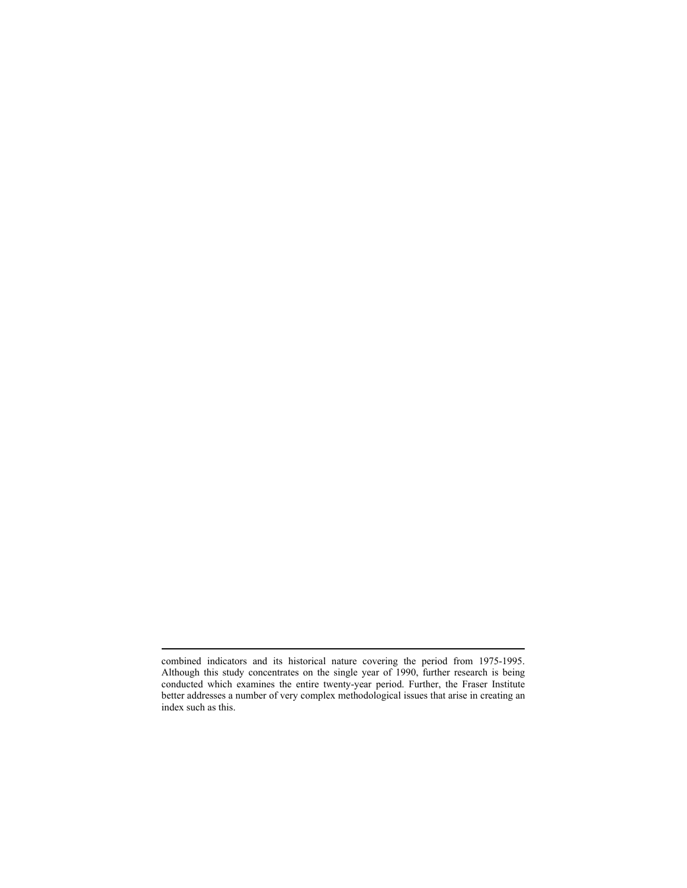$\overline{a}$ 

combined indicators and its historical nature covering the period from 1975-1995. Although this study concentrates on the single year of 1990, further research is being conducted which examines the entire twenty-year period. Further, the Fraser Institute better addresses a number of very complex methodological issues that arise in creating an index such as this.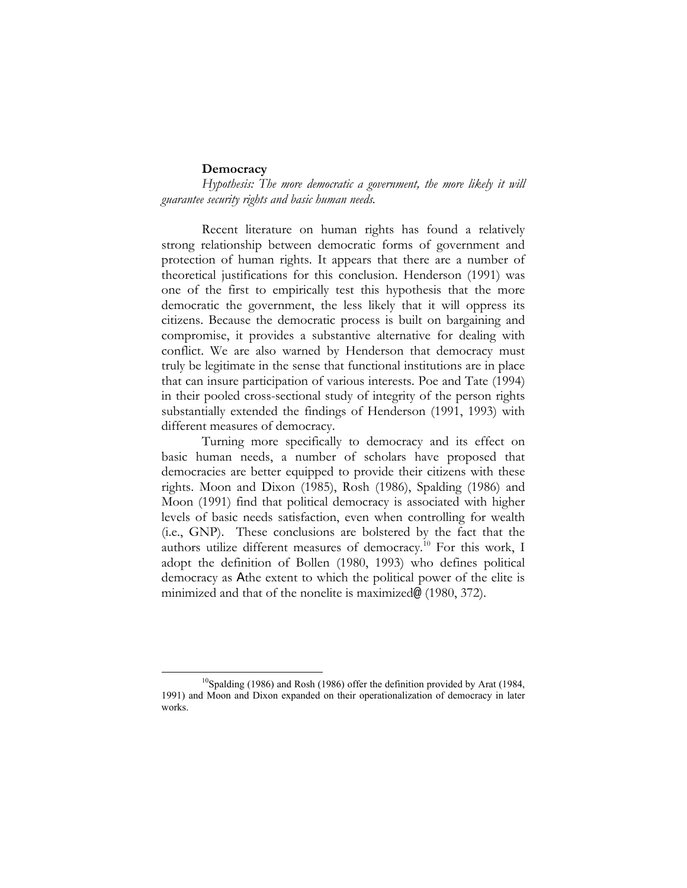## **Democracy**

*Hypothesis: The more democratic a government, the more likely it will guarantee security rights and basic human needs.* 

Recent literature on human rights has found a relatively strong relationship between democratic forms of government and protection of human rights. It appears that there are a number of theoretical justifications for this conclusion. Henderson (1991) was one of the first to empirically test this hypothesis that the more democratic the government, the less likely that it will oppress its citizens. Because the democratic process is built on bargaining and compromise, it provides a substantive alternative for dealing with conflict. We are also warned by Henderson that democracy must truly be legitimate in the sense that functional institutions are in place that can insure participation of various interests. Poe and Tate (1994) in their pooled cross-sectional study of integrity of the person rights substantially extended the findings of Henderson (1991, 1993) with different measures of democracy.

Turning more specifically to democracy and its effect on basic human needs, a number of scholars have proposed that democracies are better equipped to provide their citizens with these rights. Moon and Dixon (1985), Rosh (1986), Spalding (1986) and Moon (1991) find that political democracy is associated with higher levels of basic needs satisfaction, even when controlling for wealth (i.e., GNP). These conclusions are bolstered by the fact that the authors utilize different measures of democracy.<sup>10</sup> For this work, I adopt the definition of Bollen (1980, 1993) who defines political democracy as Athe extent to which the political power of the elite is minimized and that of the nonelite is maximized@ (1980, 372).

 $10$ Spalding (1986) and Rosh (1986) offer the definition provided by Arat (1984, 1991) and Moon and Dixon expanded on their operationalization of democracy in later works.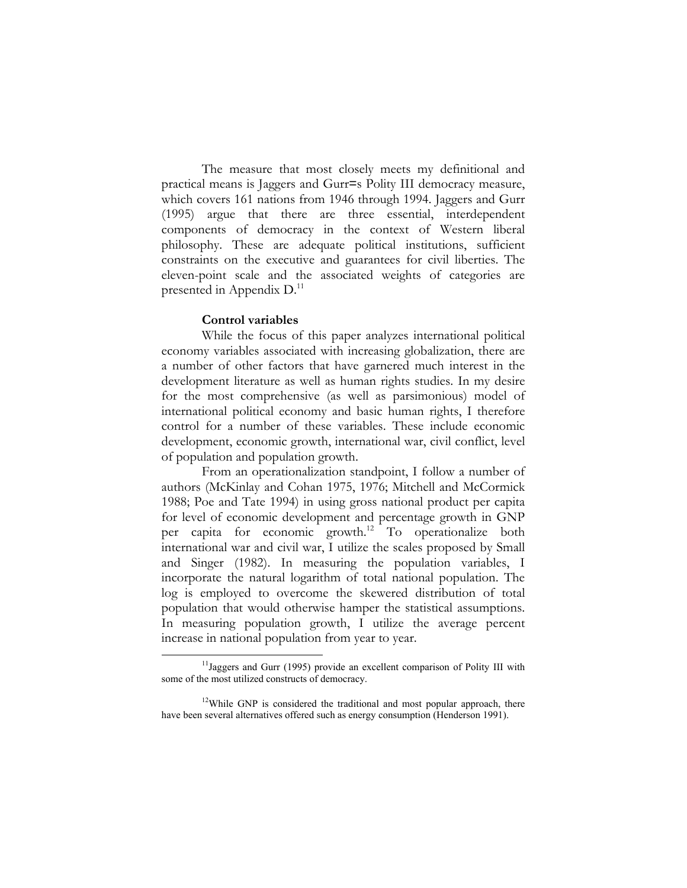The measure that most closely meets my definitional and practical means is Jaggers and Gurr=s Polity III democracy measure, which covers 161 nations from 1946 through 1994. Jaggers and Gurr (1995) argue that there are three essential, interdependent components of democracy in the context of Western liberal philosophy. These are adequate political institutions, sufficient constraints on the executive and guarantees for civil liberties. The eleven-point scale and the associated weights of categories are presented in Appendix  $D<sup>11</sup>$ 

## **Control variables**

While the focus of this paper analyzes international political economy variables associated with increasing globalization, there are a number of other factors that have garnered much interest in the development literature as well as human rights studies. In my desire for the most comprehensive (as well as parsimonious) model of international political economy and basic human rights, I therefore control for a number of these variables. These include economic development, economic growth, international war, civil conflict, level of population and population growth.

From an operationalization standpoint, I follow a number of authors (McKinlay and Cohan 1975, 1976; Mitchell and McCormick 1988; Poe and Tate 1994) in using gross national product per capita for level of economic development and percentage growth in GNP per capita for economic growth.12 To operationalize both international war and civil war, I utilize the scales proposed by Small and Singer (1982). In measuring the population variables, I incorporate the natural logarithm of total national population. The log is employed to overcome the skewered distribution of total population that would otherwise hamper the statistical assumptions. In measuring population growth, I utilize the average percent increase in national population from year to year.

<sup>&</sup>lt;sup>11</sup>Jaggers and Gurr (1995) provide an excellent comparison of Polity III with some of the most utilized constructs of democracy.

<sup>&</sup>lt;sup>12</sup>While GNP is considered the traditional and most popular approach, there have been several alternatives offered such as energy consumption (Henderson 1991).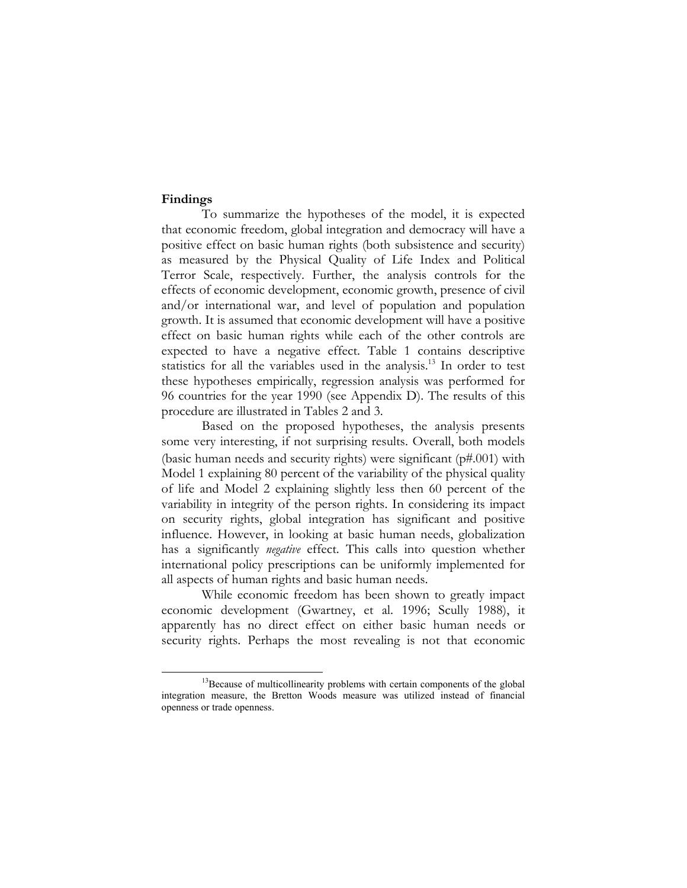## **Findings**

To summarize the hypotheses of the model, it is expected that economic freedom, global integration and democracy will have a positive effect on basic human rights (both subsistence and security) as measured by the Physical Quality of Life Index and Political Terror Scale, respectively. Further, the analysis controls for the effects of economic development, economic growth, presence of civil and/or international war, and level of population and population growth. It is assumed that economic development will have a positive effect on basic human rights while each of the other controls are expected to have a negative effect. Table 1 contains descriptive statistics for all the variables used in the analysis.<sup>13</sup> In order to test these hypotheses empirically, regression analysis was performed for 96 countries for the year 1990 (see Appendix D). The results of this procedure are illustrated in Tables 2 and 3.

Based on the proposed hypotheses, the analysis presents some very interesting, if not surprising results. Overall, both models (basic human needs and security rights) were significant (p#.001) with Model 1 explaining 80 percent of the variability of the physical quality of life and Model 2 explaining slightly less then 60 percent of the variability in integrity of the person rights. In considering its impact on security rights, global integration has significant and positive influence. However, in looking at basic human needs, globalization has a significantly *negative* effect. This calls into question whether international policy prescriptions can be uniformly implemented for all aspects of human rights and basic human needs.

While economic freedom has been shown to greatly impact economic development (Gwartney, et al. 1996; Scully 1988), it apparently has no direct effect on either basic human needs or security rights. Perhaps the most revealing is not that economic

<sup>&</sup>lt;sup>13</sup>Because of multicollinearity problems with certain components of the global integration measure, the Bretton Woods measure was utilized instead of financial openness or trade openness.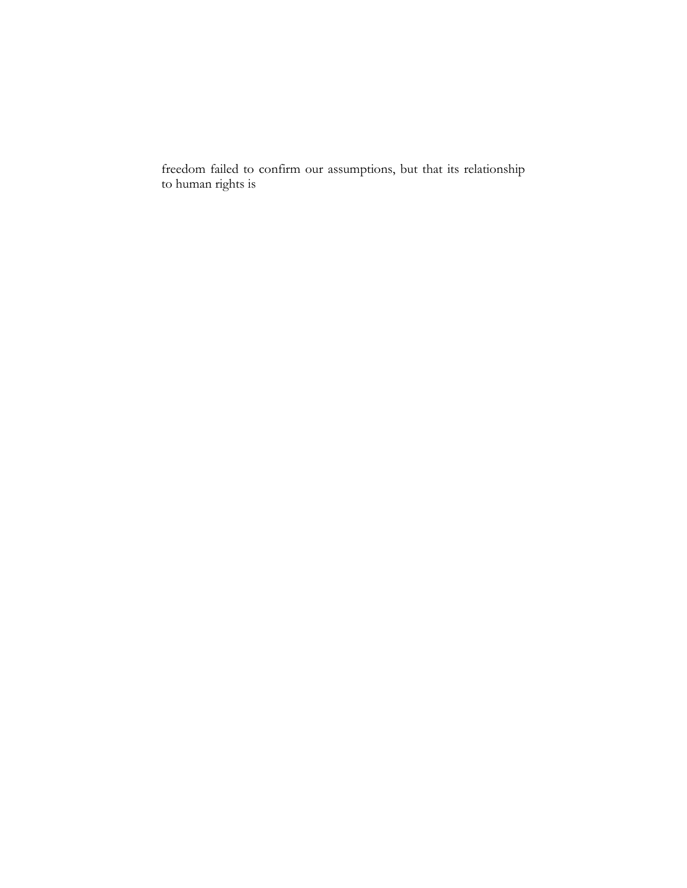freedom failed to confirm our assumptions, but that its relationship to human rights is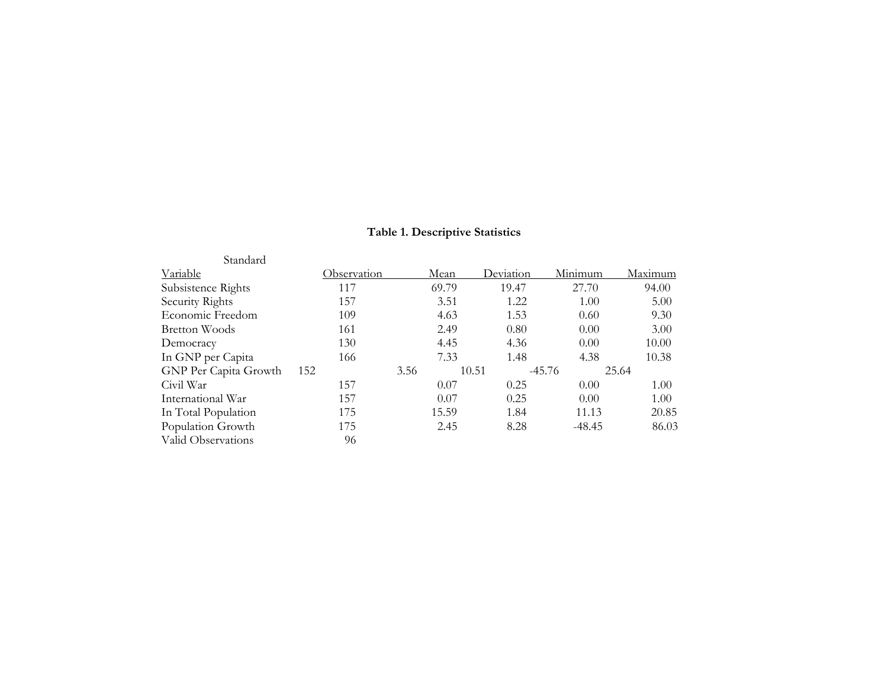# **Table 1. Descriptive Statistics**

| Standard              |             |      |       |                   |          |         |
|-----------------------|-------------|------|-------|-------------------|----------|---------|
| Variable              | Observation |      | Mean  | Deviation         | Minimum  | Maximum |
| Subsistence Rights    | 117         |      | 69.79 | 19.47             | 27.70    | 94.00   |
| Security Rights       | 157         |      | 3.51  | 1.22              | 1.00     | 5.00    |
| Economic Freedom      | 109         |      | 4.63  | 1.53              | 0.60     | 9.30    |
| Bretton Woods         | 161         |      | 2.49  | 0.80              | 0.00     | 3.00    |
| Democracy             | 130         |      | 4.45  | 4.36              | 0.00     | 10.00   |
| In GNP per Capita     | 166         |      | 7.33  | 1.48              | 4.38     | 10.38   |
| GNP Per Capita Growth | 152         | 3.56 |       | $-45.76$<br>10.51 |          | 25.64   |
| Civil War             | 157         |      | 0.07  | 0.25              | 0.00     | 1.00    |
| International War     | 157         |      | 0.07  | 0.25              | 0.00     | 1.00    |
| In Total Population   | 175         |      | 15.59 | 1.84              | 11.13    | 20.85   |
| Population Growth     | 175         |      | 2.45  | 8.28              | $-48.45$ | 86.03   |
| Valid Observations    | 96          |      |       |                   |          |         |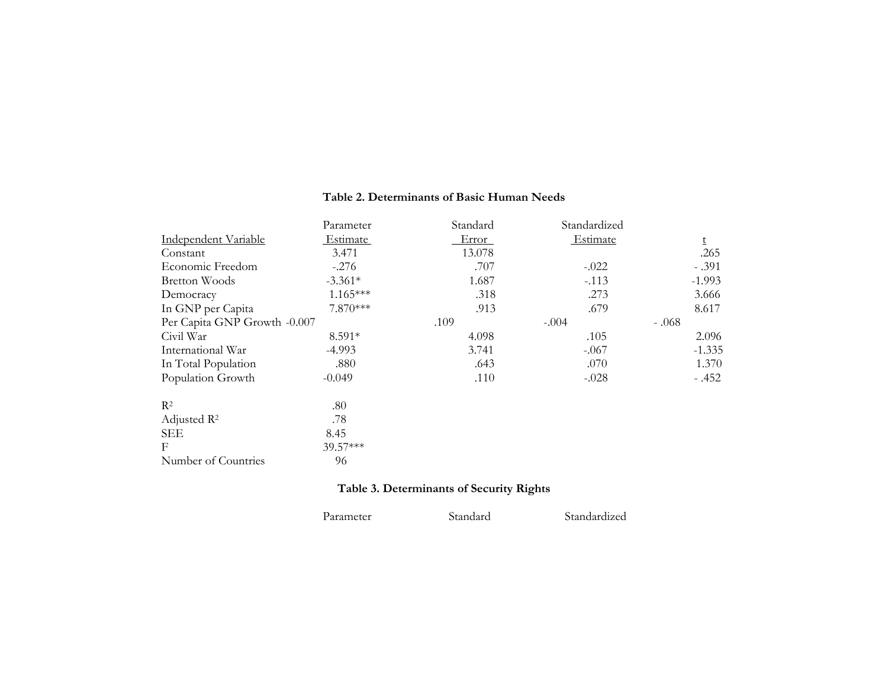#### **Table 2. Determinants of Basic Human Needs**

|                              | Parameter  | Standard | Standardized |          |
|------------------------------|------------|----------|--------------|----------|
| Independent Variable         | Estimate   | Error    | Estimate     | t        |
| Constant                     | 3.471      | 13.078   |              | .265     |
| Economic Freedom             | $-.276$    | .707     | $-.022$      | $-.391$  |
| <b>Bretton Woods</b>         | $-3.361*$  | 1.687    | $-.113$      | $-1.993$ |
| Democracy                    | $1.165***$ | .318     | .273         | 3.666    |
| In GNP per Capita            | 7.870***   | .913     | .679         | 8.617    |
| Per Capita GNP Growth -0.007 |            | .109     | $-.004$      | $-.068$  |
| Civil War                    | 8.591*     | 4.098    | .105         | 2.096    |
| International War            | $-4.993$   | 3.741    | $-.067$      | $-1.335$ |
| In Total Population          | .880       | .643     | .070         | 1.370    |
| Population Growth            | $-0.049$   | .110     | $-.028$      | $-.452$  |
| R <sup>2</sup>               | .80        |          |              |          |
| Adjusted $\mathbb{R}^2$      | .78        |          |              |          |
| <b>SEE</b>                   | 8.45       |          |              |          |
| F                            | 39.57***   |          |              |          |
| Number of Countries          | 96         |          |              |          |

# **Table 3. Determinants of Security Rights**

| Parameter | Standard | Standardized |
|-----------|----------|--------------|
|           |          |              |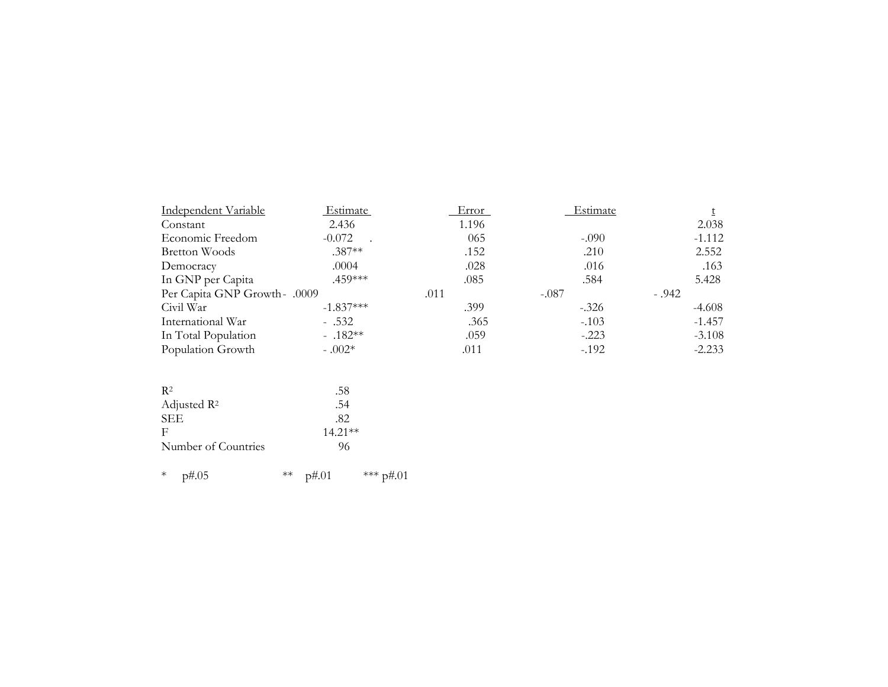| Independent Variable          | Estimate    | Error | Estimate |          |
|-------------------------------|-------------|-------|----------|----------|
| Constant                      | 2.436       | 1.196 |          | 2.038    |
| Economic Freedom              | $-0.072$    | 065   | $-.090$  | $-1.112$ |
| Bretton Woods                 | $.387**$    | .152  | .210     | 2.552    |
| Democracy                     | .0004       | .028  | .016     | .163     |
| In GNP per Capita             | .459***     | .085  | .584     | 5.428    |
| Per Capita GNP Growth - .0009 |             | .011  | $-.087$  | $-.942$  |
| Civil War                     | $-1.837***$ | .399  | $-.326$  | $-4.608$ |
| International War             | $-.532$     | .365  | $-.103$  | $-1.457$ |
| In Total Population           | $-.182**$   | .059  | $-.223$  | $-3.108$ |
| Population Growth             | $-.002*$    | .011  | $-.192$  | $-2.233$ |

| R <sub>2</sub>          | .58       |
|-------------------------|-----------|
| Adjusted $\mathbb{R}^2$ | .54       |
| <b>SEE</b>              | .82       |
| F                       | $14.21**$ |
| Number of Countries     | 96        |

\* p#.05 \*\* p#.01 \*\*\* p#.01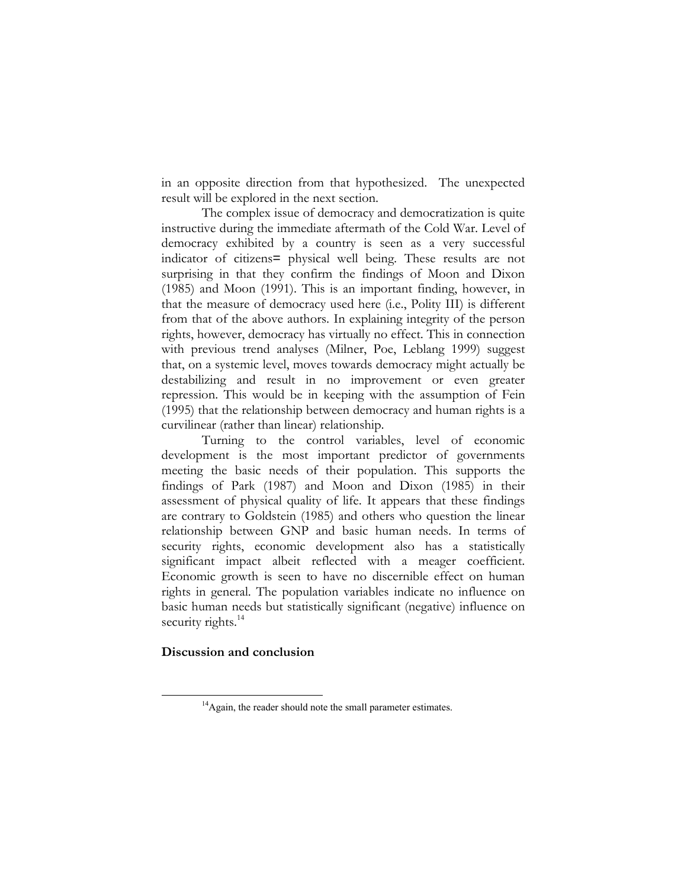in an opposite direction from that hypothesized. The unexpected result will be explored in the next section.

The complex issue of democracy and democratization is quite instructive during the immediate aftermath of the Cold War. Level of democracy exhibited by a country is seen as a very successful indicator of citizens= physical well being. These results are not surprising in that they confirm the findings of Moon and Dixon (1985) and Moon (1991). This is an important finding, however, in that the measure of democracy used here (i.e., Polity III) is different from that of the above authors. In explaining integrity of the person rights, however, democracy has virtually no effect. This in connection with previous trend analyses (Milner, Poe, Leblang 1999) suggest that, on a systemic level, moves towards democracy might actually be destabilizing and result in no improvement or even greater repression. This would be in keeping with the assumption of Fein (1995) that the relationship between democracy and human rights is a curvilinear (rather than linear) relationship.

Turning to the control variables, level of economic development is the most important predictor of governments meeting the basic needs of their population. This supports the findings of Park (1987) and Moon and Dixon (1985) in their assessment of physical quality of life. It appears that these findings are contrary to Goldstein (1985) and others who question the linear relationship between GNP and basic human needs. In terms of security rights, economic development also has a statistically significant impact albeit reflected with a meager coefficient. Economic growth is seen to have no discernible effect on human rights in general. The population variables indicate no influence on basic human needs but statistically significant (negative) influence on security rights.<sup>14</sup>

## **Discussion and conclusion**

<sup>&</sup>lt;sup>14</sup>Again, the reader should note the small parameter estimates.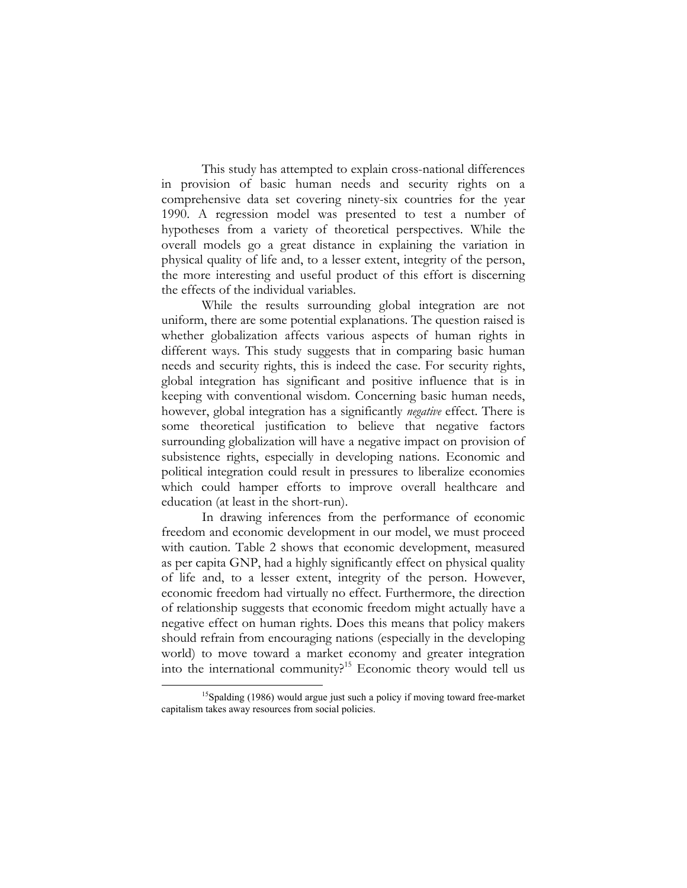This study has attempted to explain cross-national differences in provision of basic human needs and security rights on a comprehensive data set covering ninety-six countries for the year 1990. A regression model was presented to test a number of hypotheses from a variety of theoretical perspectives. While the overall models go a great distance in explaining the variation in physical quality of life and, to a lesser extent, integrity of the person, the more interesting and useful product of this effort is discerning the effects of the individual variables.

While the results surrounding global integration are not uniform, there are some potential explanations. The question raised is whether globalization affects various aspects of human rights in different ways. This study suggests that in comparing basic human needs and security rights, this is indeed the case. For security rights, global integration has significant and positive influence that is in keeping with conventional wisdom. Concerning basic human needs, however, global integration has a significantly *negative* effect. There is some theoretical justification to believe that negative factors surrounding globalization will have a negative impact on provision of subsistence rights, especially in developing nations. Economic and political integration could result in pressures to liberalize economies which could hamper efforts to improve overall healthcare and education (at least in the short-run).

In drawing inferences from the performance of economic freedom and economic development in our model, we must proceed with caution. Table 2 shows that economic development, measured as per capita GNP, had a highly significantly effect on physical quality of life and, to a lesser extent, integrity of the person. However, economic freedom had virtually no effect. Furthermore, the direction of relationship suggests that economic freedom might actually have a negative effect on human rights. Does this means that policy makers should refrain from encouraging nations (especially in the developing world) to move toward a market economy and greater integration into the international community?15 Economic theory would tell us

<sup>&</sup>lt;sup>15</sup>Spalding (1986) would argue just such a policy if moving toward free-market capitalism takes away resources from social policies.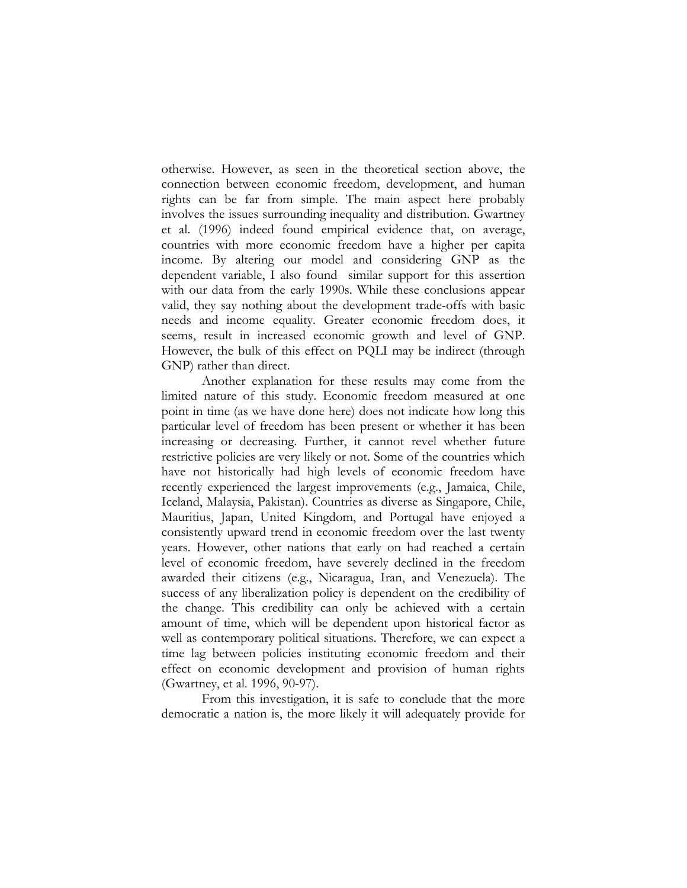otherwise. However, as seen in the theoretical section above, the connection between economic freedom, development, and human rights can be far from simple. The main aspect here probably involves the issues surrounding inequality and distribution. Gwartney et al. (1996) indeed found empirical evidence that, on average, countries with more economic freedom have a higher per capita income. By altering our model and considering GNP as the dependent variable, I also found similar support for this assertion with our data from the early 1990s. While these conclusions appear valid, they say nothing about the development trade-offs with basic needs and income equality. Greater economic freedom does, it seems, result in increased economic growth and level of GNP. However, the bulk of this effect on PQLI may be indirect (through GNP) rather than direct.

Another explanation for these results may come from the limited nature of this study. Economic freedom measured at one point in time (as we have done here) does not indicate how long this particular level of freedom has been present or whether it has been increasing or decreasing. Further, it cannot revel whether future restrictive policies are very likely or not. Some of the countries which have not historically had high levels of economic freedom have recently experienced the largest improvements (e.g., Jamaica, Chile, Iceland, Malaysia, Pakistan). Countries as diverse as Singapore, Chile, Mauritius, Japan, United Kingdom, and Portugal have enjoyed a consistently upward trend in economic freedom over the last twenty years. However, other nations that early on had reached a certain level of economic freedom, have severely declined in the freedom awarded their citizens (e.g., Nicaragua, Iran, and Venezuela). The success of any liberalization policy is dependent on the credibility of the change. This credibility can only be achieved with a certain amount of time, which will be dependent upon historical factor as well as contemporary political situations. Therefore, we can expect a time lag between policies instituting economic freedom and their effect on economic development and provision of human rights (Gwartney, et al. 1996, 90-97).

From this investigation, it is safe to conclude that the more democratic a nation is, the more likely it will adequately provide for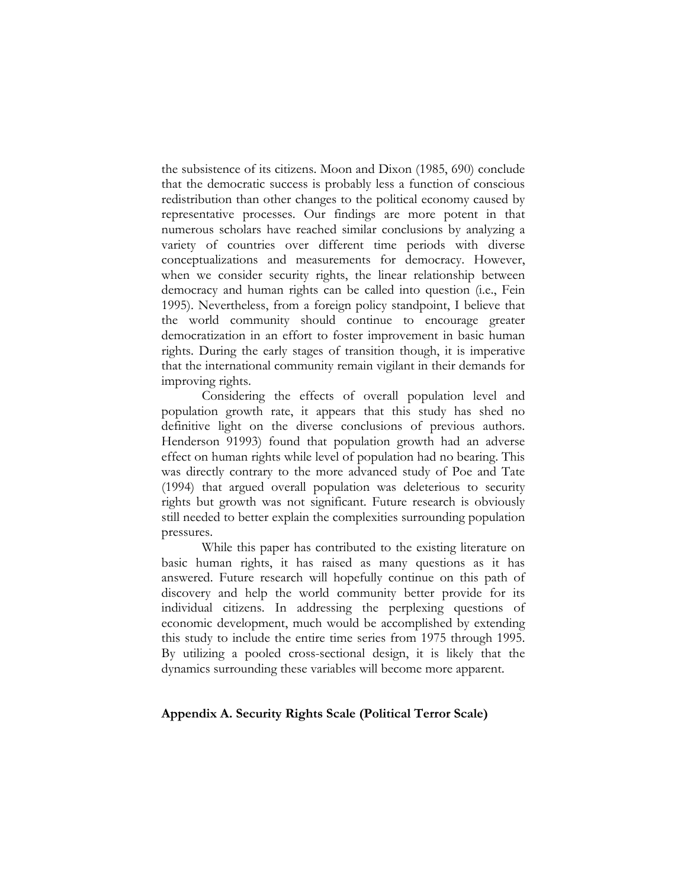the subsistence of its citizens. Moon and Dixon (1985, 690) conclude that the democratic success is probably less a function of conscious redistribution than other changes to the political economy caused by representative processes. Our findings are more potent in that numerous scholars have reached similar conclusions by analyzing a variety of countries over different time periods with diverse conceptualizations and measurements for democracy. However, when we consider security rights, the linear relationship between democracy and human rights can be called into question (i.e., Fein 1995). Nevertheless, from a foreign policy standpoint, I believe that the world community should continue to encourage greater democratization in an effort to foster improvement in basic human rights. During the early stages of transition though, it is imperative that the international community remain vigilant in their demands for improving rights.

Considering the effects of overall population level and population growth rate, it appears that this study has shed no definitive light on the diverse conclusions of previous authors. Henderson 91993) found that population growth had an adverse effect on human rights while level of population had no bearing. This was directly contrary to the more advanced study of Poe and Tate (1994) that argued overall population was deleterious to security rights but growth was not significant. Future research is obviously still needed to better explain the complexities surrounding population pressures.

While this paper has contributed to the existing literature on basic human rights, it has raised as many questions as it has answered. Future research will hopefully continue on this path of discovery and help the world community better provide for its individual citizens. In addressing the perplexing questions of economic development, much would be accomplished by extending this study to include the entire time series from 1975 through 1995. By utilizing a pooled cross-sectional design, it is likely that the dynamics surrounding these variables will become more apparent.

## **Appendix A. Security Rights Scale (Political Terror Scale)**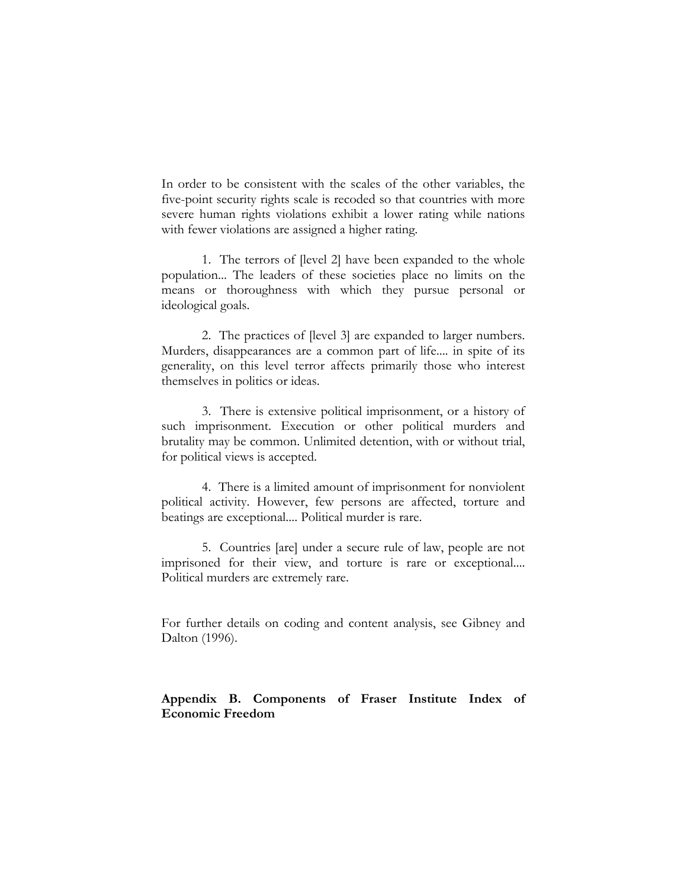In order to be consistent with the scales of the other variables, the five-point security rights scale is recoded so that countries with more severe human rights violations exhibit a lower rating while nations with fewer violations are assigned a higher rating.

1. The terrors of [level 2] have been expanded to the whole population... The leaders of these societies place no limits on the means or thoroughness with which they pursue personal or ideological goals.

2. The practices of [level 3] are expanded to larger numbers. Murders, disappearances are a common part of life.... in spite of its generality, on this level terror affects primarily those who interest themselves in politics or ideas.

3. There is extensive political imprisonment, or a history of such imprisonment. Execution or other political murders and brutality may be common. Unlimited detention, with or without trial, for political views is accepted.

4. There is a limited amount of imprisonment for nonviolent political activity. However, few persons are affected, torture and beatings are exceptional.... Political murder is rare.

5. Countries [are] under a secure rule of law, people are not imprisoned for their view, and torture is rare or exceptional.... Political murders are extremely rare.

For further details on coding and content analysis, see Gibney and Dalton (1996).

# **Appendix B. Components of Fraser Institute Index of Economic Freedom**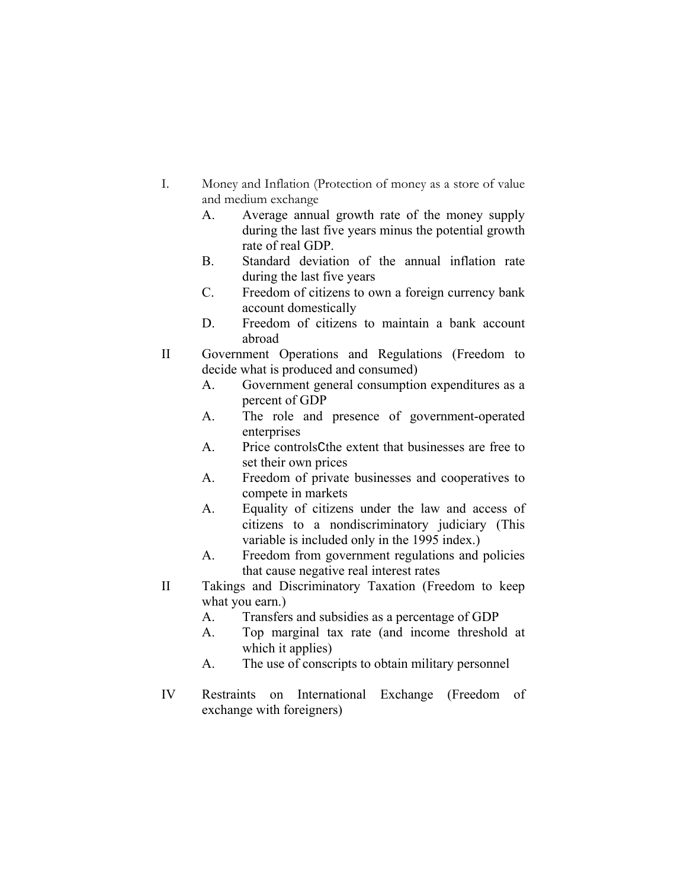- I. Money and Inflation (Protection of money as a store of value and medium exchange
	- A. Average annual growth rate of the money supply during the last five years minus the potential growth rate of real GDP.
	- B. Standard deviation of the annual inflation rate during the last five years
	- C. Freedom of citizens to own a foreign currency bank account domestically
	- D. Freedom of citizens to maintain a bank account abroad
- II Government Operations and Regulations (Freedom to decide what is produced and consumed)
	- A. Government general consumption expenditures as a percent of GDP
	- A. The role and presence of government-operated enterprises
	- A. Price controlsCthe extent that businesses are free to set their own prices
	- A. Freedom of private businesses and cooperatives to compete in markets
	- A. Equality of citizens under the law and access of citizens to a nondiscriminatory judiciary (This variable is included only in the 1995 index.)
	- A. Freedom from government regulations and policies that cause negative real interest rates
- II Takings and Discriminatory Taxation (Freedom to keep what you earn.)
	- A. Transfers and subsidies as a percentage of GDP
	- A. Top marginal tax rate (and income threshold at which it applies)
	- A. The use of conscripts to obtain military personnel
- IV Restraints on International Exchange (Freedom of exchange with foreigners)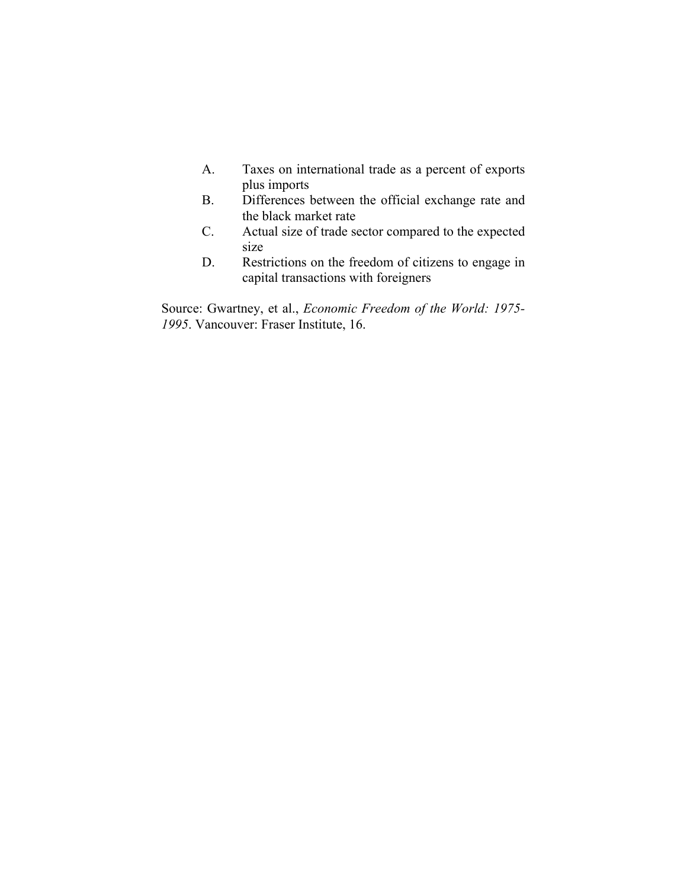- A. Taxes on international trade as a percent of exports plus imports
- B. Differences between the official exchange rate and the black market rate
- C. Actual size of trade sector compared to the expected size
- D. Restrictions on the freedom of citizens to engage in capital transactions with foreigners

Source: Gwartney, et al., *Economic Freedom of the World: 1975- 1995*. Vancouver: Fraser Institute, 16.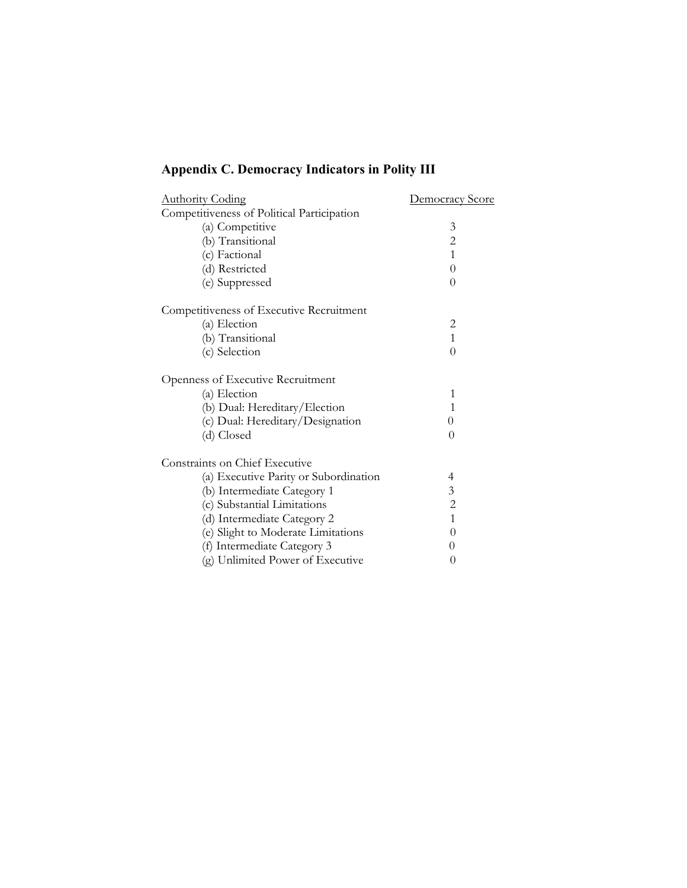# **Appendix C. Democracy Indicators in Polity III**

| <b>Authority Coding</b>                    | <b>Democracy Score</b> |
|--------------------------------------------|------------------------|
| Competitiveness of Political Participation |                        |
| (a) Competitive                            | 3                      |
| (b) Transitional                           | $\overline{c}$         |
| (c) Factional                              | $\mathbf{1}$           |
| (d) Restricted                             | $\theta$               |
| (e) Suppressed                             | $\Omega$               |
| Competitiveness of Executive Recruitment   |                        |
| (a) Election                               | 2                      |
| (b) Transitional                           | $\mathbf{1}$           |
| (c) Selection                              | $\theta$               |
| Openness of Executive Recruitment          |                        |
| (a) Election                               | 1                      |
| (b) Dual: Hereditary/Election              | $\mathbf{1}$           |
| (c) Dual: Hereditary/Designation           | $\theta$               |
| (d) Closed                                 | $\Omega$               |
| <b>Constraints on Chief Executive</b>      |                        |
| (a) Executive Parity or Subordination      | 4                      |
| (b) Intermediate Category 1                | 3                      |
| (c) Substantial Limitations                | $\overline{c}$         |
| (d) Intermediate Category 2                | $\mathbf{1}$           |
| (e) Slight to Moderate Limitations         | 0                      |
| (f) Intermediate Category 3                | 0                      |
| (g) Unlimited Power of Executive           | 0                      |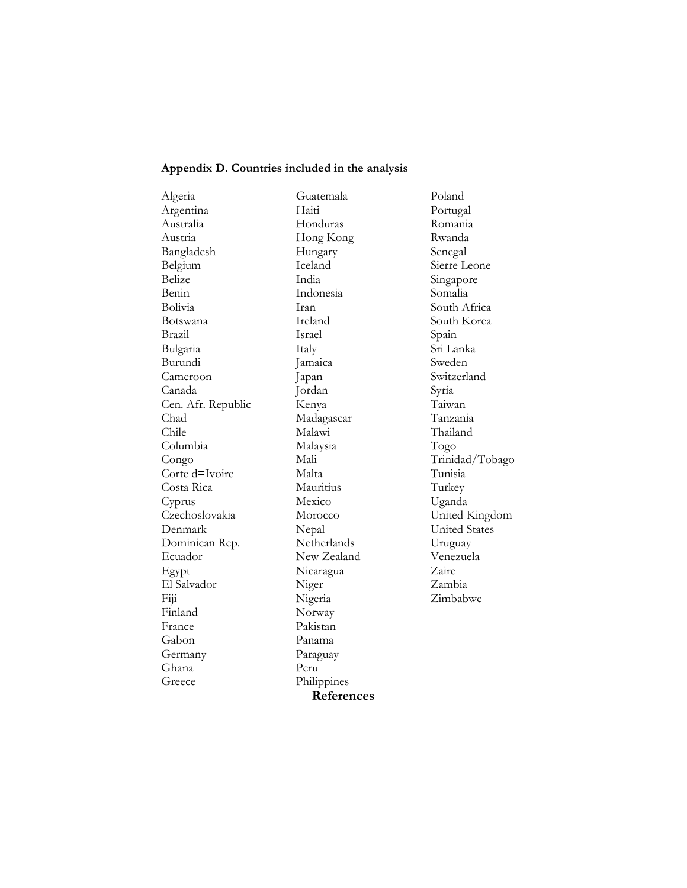#### **Appendix D. Countries included in the analysis**

Algeria Argentina Australia Austria Bangladesh Belgium Belize Benin Bolivia Botswana Brazil Bulgaria Burundi Cameroon Canada Cen. Afr. Republic Chad Chile Columbia Congo Corte d=Ivoire Costa Rica Cyprus Czechoslovakia Denmark Dominican Rep. Ecuador Egypt El Salvador Fiji Finland France Gabon Germany Ghana Greece

Guatemala Haiti Honduras Hong Kong Hungary Iceland India Indonesia Iran Ireland Israel Italy Jamaica Japan Jordan Kenya Madagascar Malawi Malaysia Mali Malta Mauritius Mexico Morocco Nepal **Netherlands** New Zealand Nicaragua Niger Nigeria Norway Pakistan Panama Paraguay Peru Philippines **References**

Poland Portugal Romania Rwanda Senegal Sierre Leone Singapore Somalia South Africa South Korea Spain Sri Lanka Sweden Switzerland Syria Taiwan Tanzania Thailand Togo Trinidad/Tobago Tunisia Turkey Uganda United Kingdom United States Uruguay Venezuela Zaire Zambia Zimbabwe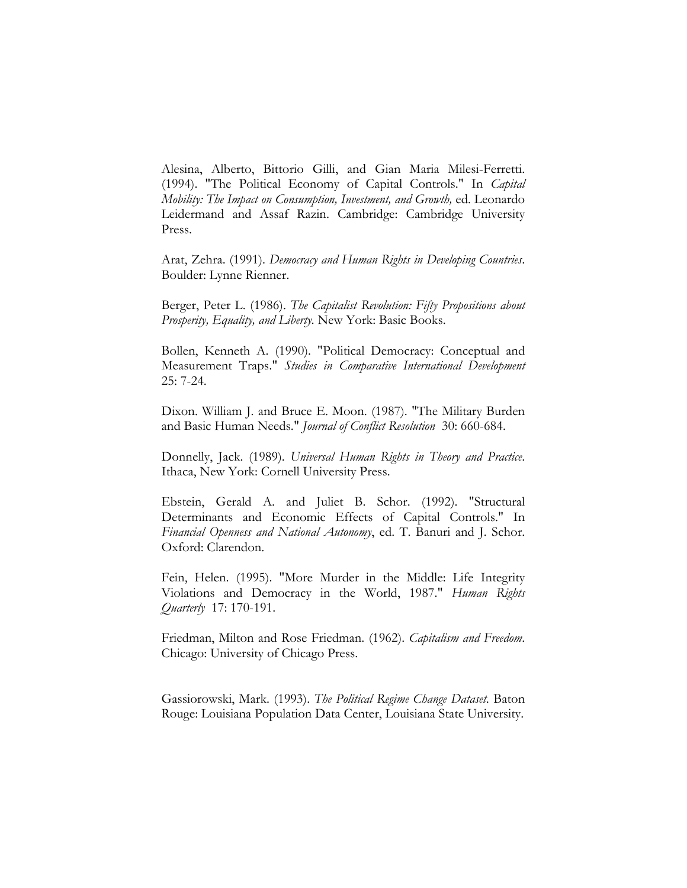Alesina, Alberto, Bittorio Gilli, and Gian Maria Milesi-Ferretti. (1994). "The Political Economy of Capital Controls." In *Capital Mobility: The Impact on Consumption, Investment, and Growth,* ed. Leonardo Leidermand and Assaf Razin. Cambridge: Cambridge University Press.

Arat, Zehra. (1991). *Democracy and Human Rights in Developing Countries*. Boulder: Lynne Rienner.

Berger, Peter L. (1986). *The Capitalist Revolution: Fifty Propositions about Prosperity, Equality, and Liberty.* New York: Basic Books.

Bollen, Kenneth A. (1990). "Political Democracy: Conceptual and Measurement Traps." *Studies in Comparative International Development*  25: 7-24.

Dixon. William J. and Bruce E. Moon. (1987). "The Military Burden and Basic Human Needs." *Journal of Conflict Resolution* 30: 660-684.

Donnelly, Jack. (1989). *Universal Human Rights in Theory and Practice*. Ithaca, New York: Cornell University Press.

Ebstein, Gerald A. and Juliet B. Schor. (1992). "Structural Determinants and Economic Effects of Capital Controls." In *Financial Openness and National Autonomy*, ed. T. Banuri and J. Schor. Oxford: Clarendon.

Fein, Helen. (1995). "More Murder in the Middle: Life Integrity Violations and Democracy in the World, 1987." *Human Rights Quarterly* 17: 170-191.

Friedman, Milton and Rose Friedman. (1962). *Capitalism and Freedom*. Chicago: University of Chicago Press.

Gassiorowski, Mark. (1993). *The Political Regime Change Dataset*. Baton Rouge: Louisiana Population Data Center, Louisiana State University.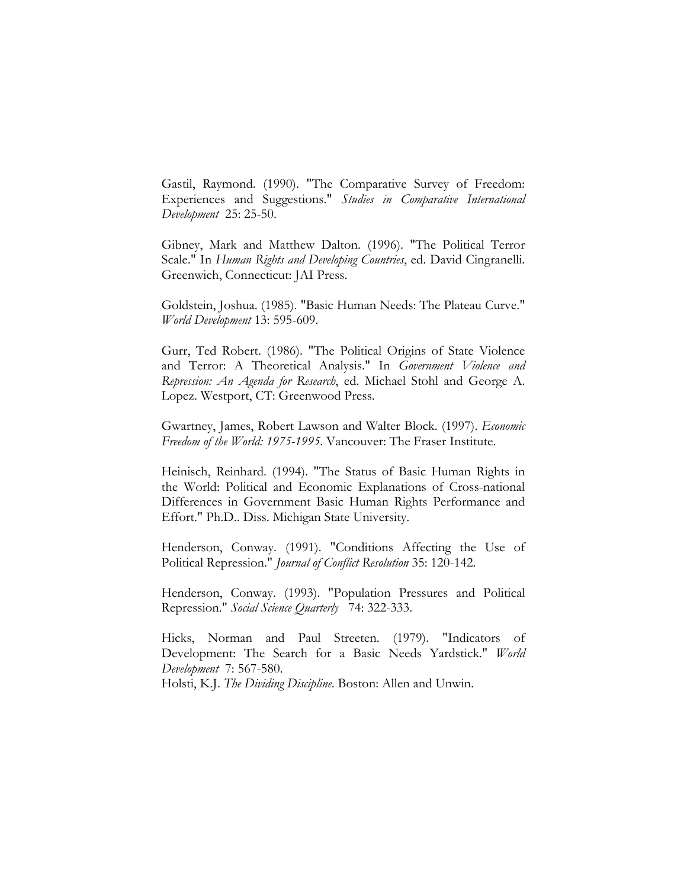Gastil, Raymond. (1990). "The Comparative Survey of Freedom: Experiences and Suggestions." *Studies in Comparative International Development* 25: 25-50.

Gibney, Mark and Matthew Dalton. (1996). "The Political Terror Scale." In *Human Rights and Developing Countries*, ed. David Cingranelli. Greenwich, Connecticut: JAI Press.

Goldstein, Joshua. (1985). "Basic Human Needs: The Plateau Curve." *World Development* 13: 595-609.

Gurr, Ted Robert. (1986). "The Political Origins of State Violence and Terror: A Theoretical Analysis." In *Government Violence and Repression: An Agenda for Research*, ed. Michael Stohl and George A. Lopez. Westport, CT: Greenwood Press.

Gwartney, James, Robert Lawson and Walter Block. (1997). *Economic Freedom of the World: 1975-1995*. Vancouver: The Fraser Institute.

Heinisch, Reinhard. (1994). "The Status of Basic Human Rights in the World: Political and Economic Explanations of Cross-national Differences in Government Basic Human Rights Performance and Effort." Ph.D.. Diss. Michigan State University.

Henderson, Conway. (1991). "Conditions Affecting the Use of Political Repression." *Journal of Conflict Resolution* 35: 120-142.

Henderson, Conway. (1993). "Population Pressures and Political Repression." *Social Science Quarterly* 74: 322-333.

Hicks, Norman and Paul Streeten. (1979). "Indicators of Development: The Search for a Basic Needs Yardstick." *World Development* 7: 567-580.

Holsti, K.J. *The Dividing Discipline*. Boston: Allen and Unwin.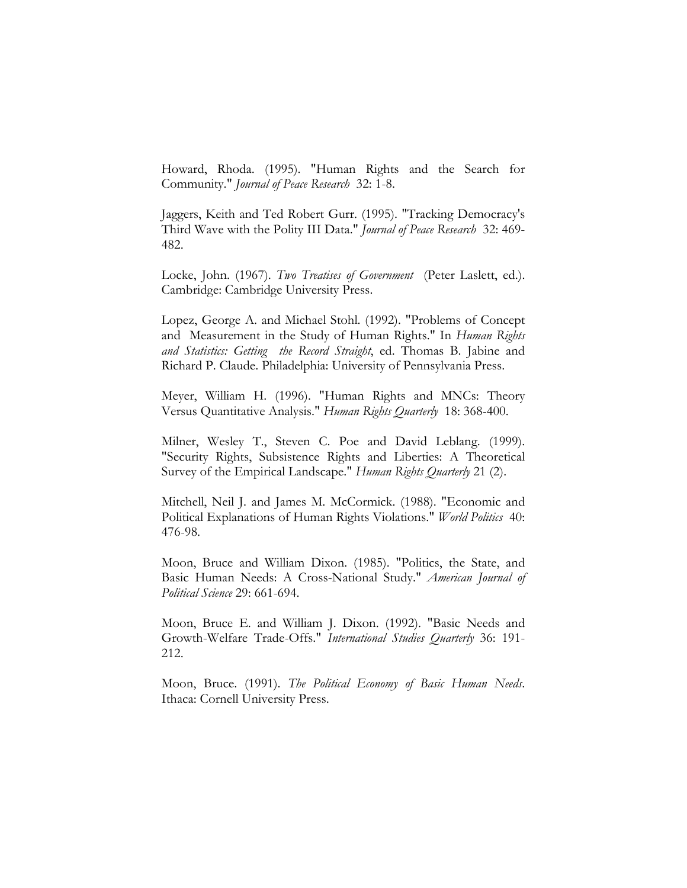Howard, Rhoda. (1995). "Human Rights and the Search for Community." *Journal of Peace Research* 32: 1-8.

Jaggers, Keith and Ted Robert Gurr. (1995). "Tracking Democracy's Third Wave with the Polity III Data." *Journal of Peace Research* 32: 469- 482.

Locke, John. (1967). *Two Treatises of Government* (Peter Laslett, ed.). Cambridge: Cambridge University Press.

Lopez, George A. and Michael Stohl. (1992). "Problems of Concept and Measurement in the Study of Human Rights." In *Human Rights and Statistics: Getting the Record Straight*, ed. Thomas B. Jabine and Richard P. Claude. Philadelphia: University of Pennsylvania Press.

Meyer, William H. (1996). "Human Rights and MNCs: Theory Versus Quantitative Analysis." *Human Rights Quarterly* 18: 368-400.

Milner, Wesley T., Steven C. Poe and David Leblang. (1999). "Security Rights, Subsistence Rights and Liberties: A Theoretical Survey of the Empirical Landscape." *Human Rights Quarterly* 21 (2).

Mitchell, Neil J. and James M. McCormick. (1988). "Economic and Political Explanations of Human Rights Violations." *World Politics* 40: 476-98.

Moon, Bruce and William Dixon. (1985). "Politics, the State, and Basic Human Needs: A Cross-National Study." *American Journal of Political Science* 29: 661-694.

Moon, Bruce E. and William J. Dixon. (1992). "Basic Needs and Growth-Welfare Trade-Offs." *International Studies Quarterly* 36: 191- 212.

Moon, Bruce. (1991). *The Political Economy of Basic Human Needs*. Ithaca: Cornell University Press.